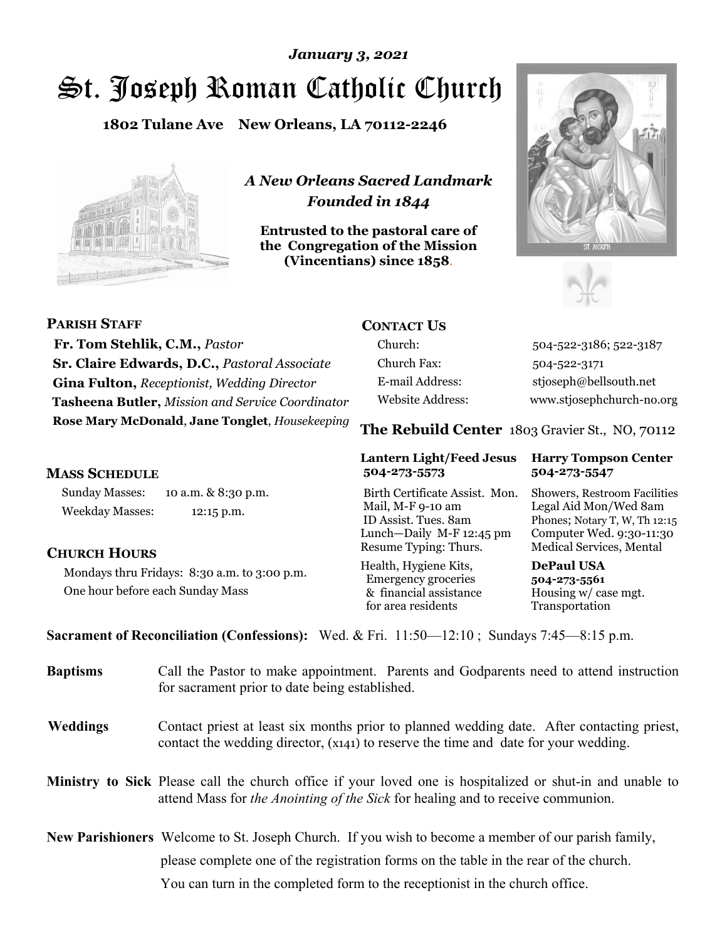# St. Joseph Roman Catholic Church *January 3, 2021*

**1802 Tulane Ave New Orleans, LA 70112-2246**



*A New Orleans Sacred Landmark Founded in 1844* 

**Entrusted to the pastoral care of the Congregation of the Mission (Vincentians) since 1858**.





| <b>PARISH STAFF</b>                                | <b>CONTACT US</b>       |                                                |
|----------------------------------------------------|-------------------------|------------------------------------------------|
| Fr. Tom Stehlik, C.M., Pastor                      | Church:                 | 504-522-3186; 522-3187                         |
| Sr. Claire Edwards, D.C., Pastoral Associate       | Church Fax:             | 504-522-3171                                   |
| <b>Gina Fulton, Receptionist, Wedding Director</b> | E-mail Address:         | stjoseph@bellsouth.net                         |
| Tasheena Butler, Mission and Service Coordinator   | <b>Website Address:</b> | www.stjosephchurch-no.org                      |
| Rose Mary McDonald, Jane Tonglet, Housekeeping     |                         | The Rebuild Center 1803 Gravier St., NO, 70112 |

#### **MASS SCHEDULE**

Sunday Masses: 10 a.m. & 8:30 p.m. Weekday Masses: 12:15 p.m.

### **CHURCH HOURS**

Mondays thru Fridays: 8:30 a.m. to 3:00 p.m. One hour before each Sunday Mass

# **504-273-5573 504-273-5547**

Birth Certificate Assist. Mon. Showers, Restroom Facilities Mail, M-F 9-10 am Legal Aid Mon/Wed 8am ID Assist. Tues. 8am Phones; Notary T, W, Th 12:15 Lunch—Daily M-F 12:45 pm Computer Wed. 9:30-11:30 Resume Typing: Thurs. Medical Services, Mental

Health, Hygiene Kits, **DePaul USA**  Emergency groceries **504-273-5561** & financial assistance Housing w/ case mgt.<br>for area residents Transportation for area residents

# **Lantern Light/Feed Jesus Harry Tompson Center**

**Sacrament of Reconciliation (Confessions):** Wed. & Fri. 11:50—12:10 ; Sundays 7:45—8:15 p.m.

| <b>Baptisms</b> | Call the Pastor to make appointment. Parents and Godparents need to attend instruction<br>for sacrament prior to date being established.                                                            |
|-----------------|-----------------------------------------------------------------------------------------------------------------------------------------------------------------------------------------------------|
| Weddings        | Contact priest at least six months prior to planned wedding date. After contacting priest,<br>contact the wedding director, (x141) to reserve the time and date for your wedding.                   |
|                 | Ministry to Sick Please call the church office if your loved one is hospitalized or shut-in and unable to<br>attend Mass for <i>the Anointing of the Sick</i> for healing and to receive communion. |

**New Parishioners** Welcome to St. Joseph Church. If you wish to become a member of our parish family, please complete one of the registration forms on the table in the rear of the church. You can turn in the completed form to the receptionist in the church office.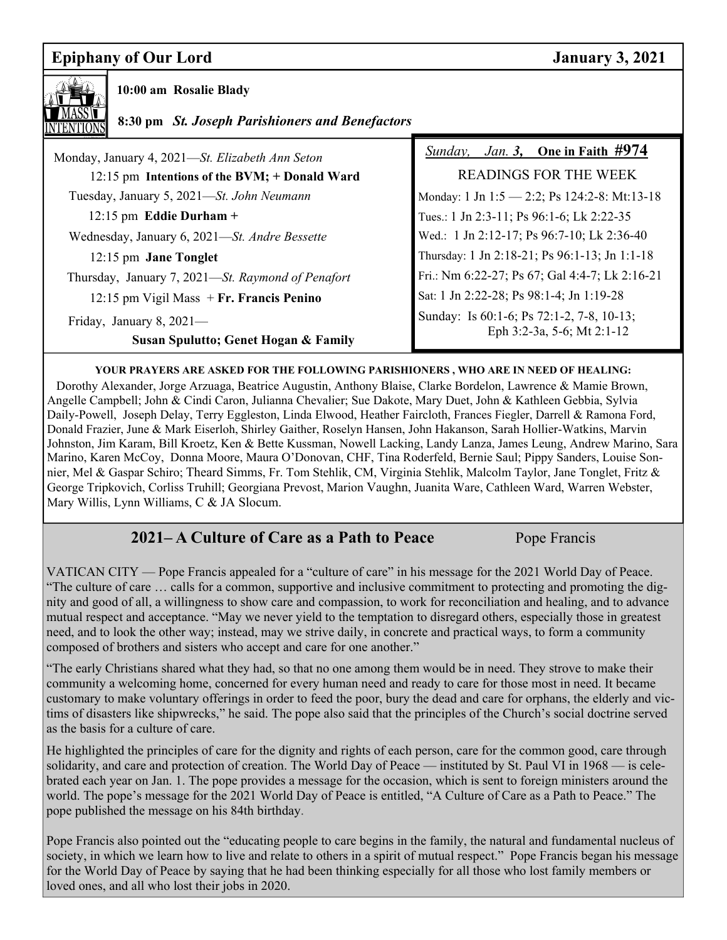## **Epiphany of Our Lord January 3, 2021**



 **10:00 am Rosalie Blady** 

 **8:30 pm** *St. Joseph Parishioners and Benefactors*

| Monday, January 4, 2021—St. Elizabeth Ann Seton                     | <i>Jan.</i> 3, One in Faith $\#974$<br>Sunday,                          |  |
|---------------------------------------------------------------------|-------------------------------------------------------------------------|--|
| 12:15 pm Intentions of the BVM; + Donald Ward                       | READINGS FOR THE WEEK                                                   |  |
| Tuesday, January 5, 2021—St. John Neumann                           | Monday: 1 Jn 1:5 - 2:2; Ps 124:2-8: Mt:13-18                            |  |
| 12:15 pm Eddie Durham +                                             | Tues.: 1 Jn 2:3-11; Ps 96:1-6; Lk 2:22-35                               |  |
| Wednesday, January 6, 2021—St. Andre Bessette                       | Wed.: 1 Jn 2:12-17; Ps 96:7-10; Lk 2:36-40                              |  |
| 12:15 pm Jane Tonglet                                               | Thursday: 1 Jn 2:18-21; Ps 96:1-13; Jn 1:1-18                           |  |
| Thursday, January 7, 2021-St. Raymond of Penafort                   | Fri.: Nm 6:22-27; Ps 67; Gal 4:4-7; Lk 2:16-21                          |  |
| 12:15 pm Vigil Mass $+$ Fr. Francis Penino                          | Sat: 1 Jn 2:22-28; Ps 98:1-4; Jn 1:19-28                                |  |
| Friday, January 8, $2021$ —<br>Susan Spulutto; Genet Hogan & Family | Sunday: Is 60:1-6; Ps 72:1-2, 7-8, 10-13;<br>Eph 3:2-3a, 5-6; Mt 2:1-12 |  |

### **YOUR PRAYERS ARE ASKED FOR THE FOLLOWING PARISHIONERS , WHO ARE IN NEED OF HEALING:**

 Dorothy Alexander, Jorge Arzuaga, Beatrice Augustin, Anthony Blaise, Clarke Bordelon, Lawrence & Mamie Brown, Angelle Campbell; John & Cindi Caron, Julianna Chevalier; Sue Dakote, Mary Duet, John & Kathleen Gebbia, Sylvia Daily-Powell, Joseph Delay, Terry Eggleston, Linda Elwood, Heather Faircloth, Frances Fiegler, Darrell & Ramona Ford, Donald Frazier, June & Mark Eiserloh, Shirley Gaither, Roselyn Hansen, John Hakanson, Sarah Hollier-Watkins, Marvin Johnston, Jim Karam, Bill Kroetz, Ken & Bette Kussman, Nowell Lacking, Landy Lanza, James Leung, Andrew Marino, Sara Marino, Karen McCoy, Donna Moore, Maura O'Donovan, CHF, Tina Roderfeld, Bernie Saul; Pippy Sanders, Louise Sonnier, Mel & Gaspar Schiro; Theard Simms, Fr. Tom Stehlik, CM, Virginia Stehlik, Malcolm Taylor, Jane Tonglet, Fritz & George Tripkovich, Corliss Truhill; Georgiana Prevost, Marion Vaughn, Juanita Ware, Cathleen Ward, Warren Webster, Mary Willis, Lynn Williams, C & JA Slocum.

## **2021– A Culture of Care as a Path to Peace** Pope Francis

VATICAN CITY — Pope Francis appealed for a "culture of care" in his message for the 2021 World Day of Peace. "The culture of care … calls for a common, supportive and inclusive commitment to protecting and promoting the dignity and good of all, a willingness to show care and compassion, to work for reconciliation and healing, and to advance mutual respect and acceptance. "May we never yield to the temptation to disregard others, especially those in greatest need, and to look the other way; instead, may we strive daily, in concrete and practical ways, to form a community composed of brothers and sisters who accept and care for one another."

"The early Christians shared what they had, so that no one among them would be in need. They strove to make their community a welcoming home, concerned for every human need and ready to care for those most in need. It became customary to make voluntary offerings in order to feed the poor, bury the dead and care for orphans, the elderly and victims of disasters like shipwrecks," he said. The pope also said that the principles of the Church's social doctrine served as the basis for a culture of care.

He highlighted the principles of care for the dignity and rights of each person, care for the common good, care through solidarity, and care and protection of creation. The World Day of Peace — instituted by St. Paul VI in 1968 — is celebrated each year on Jan. 1. The pope provides a message for the occasion, which is sent to foreign ministers around the world. The pope's message for the 2021 World Day of Peace is entitled, "A Culture of Care as a Path to Peace." The pope published the message on his 84th birthday.

Pope Francis also pointed out the "educating people to care begins in the family, the natural and fundamental nucleus of society, in which we learn how to live and relate to others in a spirit of mutual respect." Pope Francis began his message for the World Day of Peace by saying that he had been thinking especially for all those who lost family members or loved ones, and all who lost their jobs in 2020.